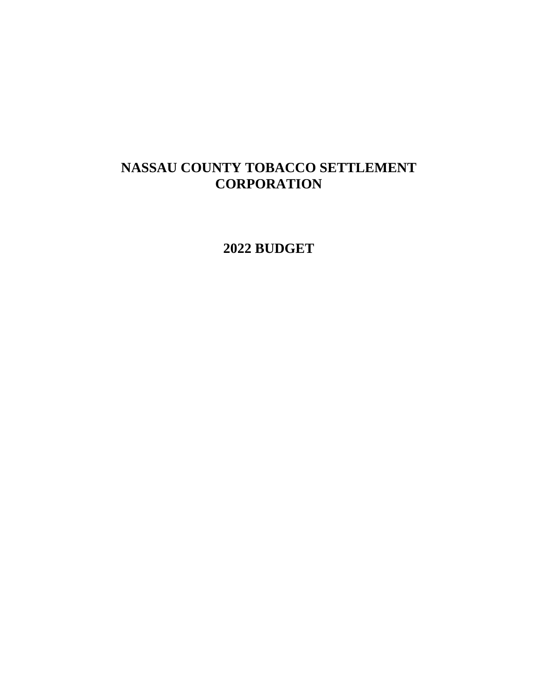# **NASSAU COUNTY TOBACCO SETTLEMENT CORPORATION**

**2022 BUDGET**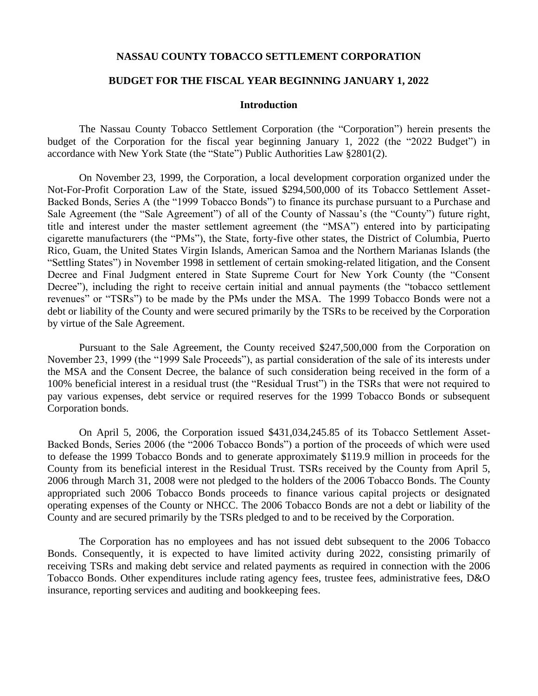#### **NASSAU COUNTY TOBACCO SETTLEMENT CORPORATION**

#### **BUDGET FOR THE FISCAL YEAR BEGINNING JANUARY 1, 2022**

#### **Introduction**

The Nassau County Tobacco Settlement Corporation (the "Corporation") herein presents the budget of the Corporation for the fiscal year beginning January 1, 2022 (the "2022 Budget") in accordance with New York State (the "State") Public Authorities Law §2801(2).

On November 23, 1999, the Corporation, a local development corporation organized under the Not-For-Profit Corporation Law of the State, issued \$294,500,000 of its Tobacco Settlement Asset-Backed Bonds, Series A (the "1999 Tobacco Bonds") to finance its purchase pursuant to a Purchase and Sale Agreement (the "Sale Agreement") of all of the County of Nassau's (the "County") future right, title and interest under the master settlement agreement (the "MSA") entered into by participating cigarette manufacturers (the "PMs"), the State, forty-five other states, the District of Columbia, Puerto Rico, Guam, the United States Virgin Islands, American Samoa and the Northern Marianas Islands (the "Settling States") in November 1998 in settlement of certain smoking-related litigation, and the Consent Decree and Final Judgment entered in State Supreme Court for New York County (the "Consent Decree"), including the right to receive certain initial and annual payments (the "tobacco settlement revenues" or "TSRs") to be made by the PMs under the MSA. The 1999 Tobacco Bonds were not a debt or liability of the County and were secured primarily by the TSRs to be received by the Corporation by virtue of the Sale Agreement.

Pursuant to the Sale Agreement, the County received \$247,500,000 from the Corporation on November 23, 1999 (the "1999 Sale Proceeds"), as partial consideration of the sale of its interests under the MSA and the Consent Decree, the balance of such consideration being received in the form of a 100% beneficial interest in a residual trust (the "Residual Trust") in the TSRs that were not required to pay various expenses, debt service or required reserves for the 1999 Tobacco Bonds or subsequent Corporation bonds.

On April 5, 2006, the Corporation issued \$431,034,245.85 of its Tobacco Settlement Asset-Backed Bonds, Series 2006 (the "2006 Tobacco Bonds") a portion of the proceeds of which were used to defease the 1999 Tobacco Bonds and to generate approximately \$119.9 million in proceeds for the County from its beneficial interest in the Residual Trust. TSRs received by the County from April 5, 2006 through March 31, 2008 were not pledged to the holders of the 2006 Tobacco Bonds. The County appropriated such 2006 Tobacco Bonds proceeds to finance various capital projects or designated operating expenses of the County or NHCC. The 2006 Tobacco Bonds are not a debt or liability of the County and are secured primarily by the TSRs pledged to and to be received by the Corporation.

The Corporation has no employees and has not issued debt subsequent to the 2006 Tobacco Bonds. Consequently, it is expected to have limited activity during 2022, consisting primarily of receiving TSRs and making debt service and related payments as required in connection with the 2006 Tobacco Bonds. Other expenditures include rating agency fees, trustee fees, administrative fees, D&O insurance, reporting services and auditing and bookkeeping fees.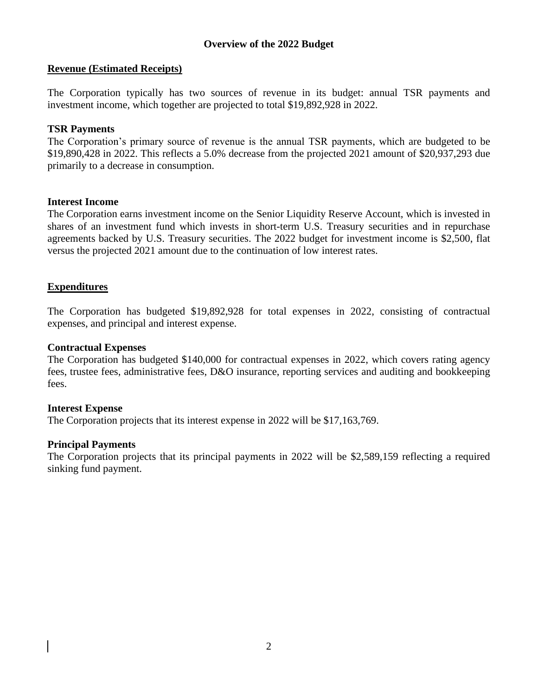## **Revenue (Estimated Receipts)**

The Corporation typically has two sources of revenue in its budget: annual TSR payments and investment income, which together are projected to total \$19,892,928 in 2022.

## **TSR Payments**

The Corporation's primary source of revenue is the annual TSR payments, which are budgeted to be \$19,890,428 in 2022. This reflects a 5.0% decrease from the projected 2021 amount of \$20,937,293 due primarily to a decrease in consumption.

#### **Interest Income**

The Corporation earns investment income on the Senior Liquidity Reserve Account, which is invested in shares of an investment fund which invests in short-term U.S. Treasury securities and in repurchase agreements backed by U.S. Treasury securities. The 2022 budget for investment income is \$2,500, flat versus the projected 2021 amount due to the continuation of low interest rates.

# **Expenditures**

The Corporation has budgeted \$19,892,928 for total expenses in 2022, consisting of contractual expenses, and principal and interest expense.

#### **Contractual Expenses**

The Corporation has budgeted \$140,000 for contractual expenses in 2022, which covers rating agency fees, trustee fees, administrative fees, D&O insurance, reporting services and auditing and bookkeeping fees.

#### **Interest Expense**

The Corporation projects that its interest expense in 2022 will be \$17,163,769.

#### **Principal Payments**

The Corporation projects that its principal payments in 2022 will be \$2,589,159 reflecting a required sinking fund payment.